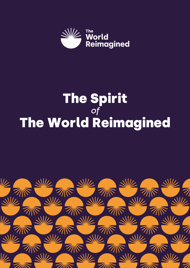

# The Spirit *of* The World Reimagined

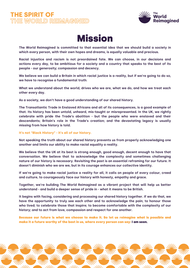



**The World Reimagined is committed to that essential idea that we should build a society in which every person, with their own hopes and dreams, is equally valuable and precious.**

**Racial injustice and racism is not preordained fate. We can choose, in our decisions and** actions every day, to be ambitious for a society and a country that speaks to the best of its **people - our generosity; compassion and decency.**

We believe we can build a Britain in which racial justice is a reality, but if we're going to do so, **we have to recognise a fundamental truth:**

**What we understand about the world, drives who we are, what we do, and how we treat each other every day.**

**As a society, we don't have a good understanding of our shared history.**

**The Transatlantic Trade in Enslaved Africans and all of its consequences, is a good example of that. Its history has been untold, unheard, mis-taught or misrepresented. In the UK, we rightly celebrate with pride the Trade's abolition - but the people who were enslaved and their descendants; Britain's role in the Trade's creation; and the devastating legacy is usually missing from how history is told.**

#### **It's not "Black History" - it's all of our history.**

**Not speaking the truth about our shared history prevents us from properly acknowledging one another and limits our ability to make racial equality a reality.**

**We believe that the UK at its best is strong enough, good enough, decent enough to have that conversation. We believe that to acknowledge the complexity and sometimes challenging nature of our history is necessary. Revisiting the past is an essential reframing for our future. It doesn't diminish who we are we, but in its courage enhances our collective identity.**

If we're going to make racial justice a reality for all, it calls on people of every colour, creed **and culture, to courageously face our history with honesty, empathy and grace.**

**Together, we're building The World Reimagined as a vibrant project that will help us better understand - and build a deeper sense of pride in - what it means to be British.**

**It begins with facing, considering and processing our shared history together. If we do that, we have the opportunity to truly see each other and to acknowledge the pain; to honour those who lived; to celebrate those that inspire; to become comfortable with the complexity of our history; and to act from love, compassion and respect for one another.**

Because our future is what we choose to make it. So let us reimagine what is possible and make it a future worthy of the best in us, where every person can say: I am seen.